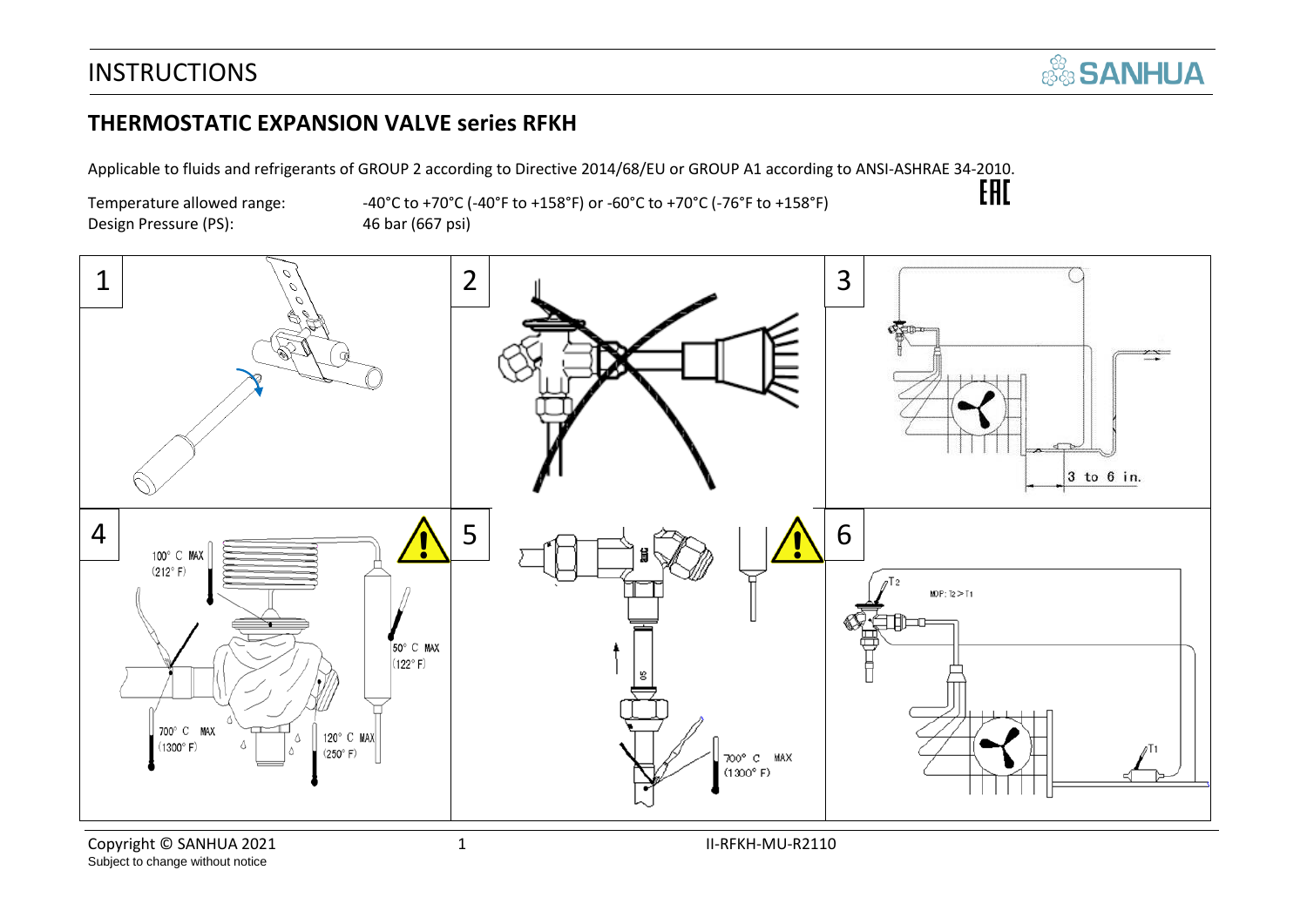#### **THERMOSTATIC EXPANSION VALVE series RFKH**

Applicable to fluids and refrigerants of GROUP 2 according to Directive 2014/68/EU or GROUP A1 according to ANSI-ASHRAE 34-2010.<br>-40°C to +70°C (-40°F to +158°F) or -60°C to +70°C (-76°F to +158°F)

Design Pressure (PS): 46 bar (667 psi)

Temperature allowed range:  $-40^{\circ}$ C to +70°C (-40°F to +158°F) or -60°C to +70°C (-76°F to +158°F)

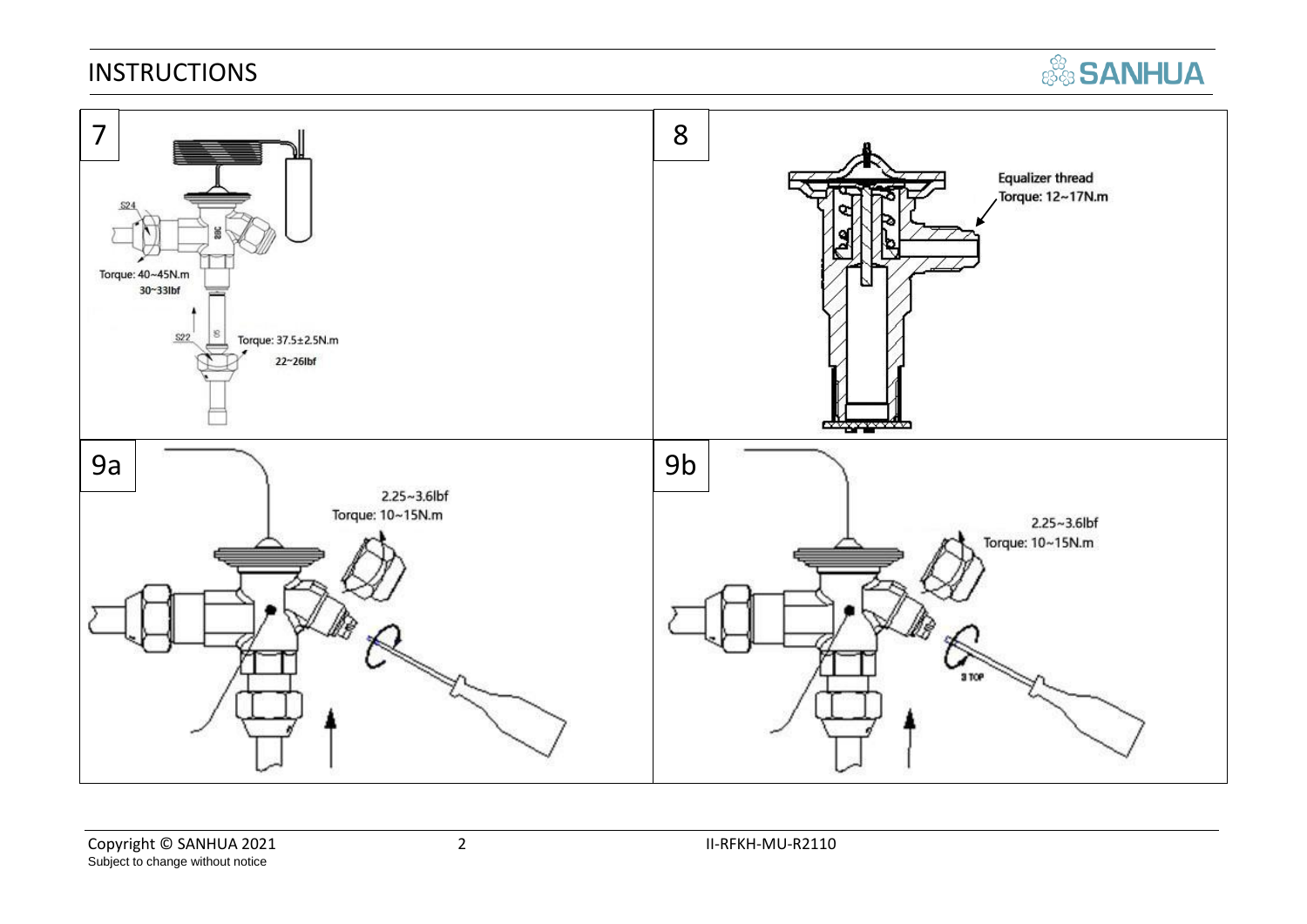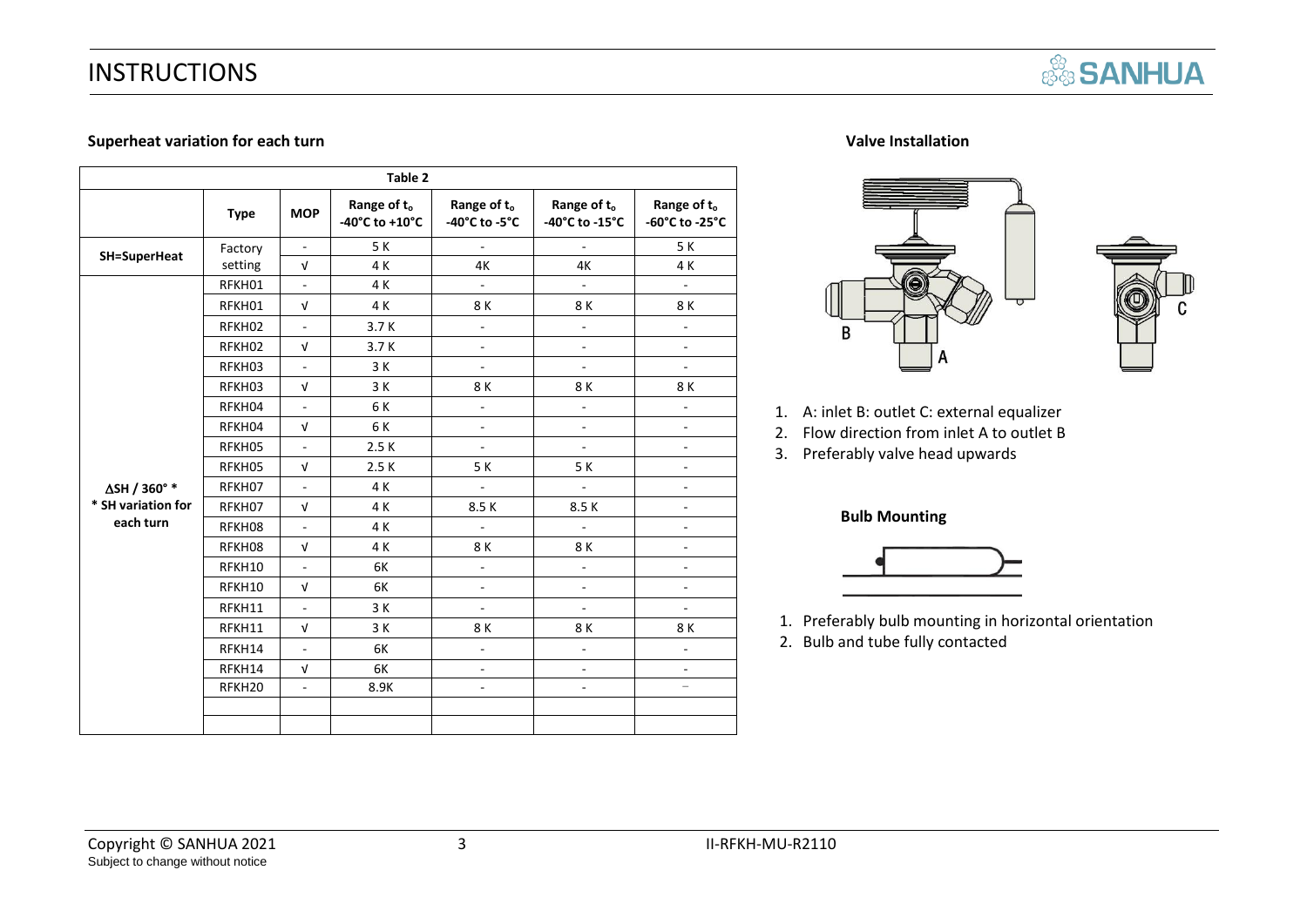

#### **Superheat variation for each turn in the supervention of the supervention of the Valve Installation**

|                     |                    |                          | Table 2                       |                                          |                               |                               |
|---------------------|--------------------|--------------------------|-------------------------------|------------------------------------------|-------------------------------|-------------------------------|
|                     | <b>Type</b>        | <b>MOP</b>               | Range of to<br>-40°C to +10°C | Range of t <sub>o</sub><br>-40°C to -5°C | Range of to<br>-40°C to -15°C | Range of to<br>-60°C to -25°C |
| <b>SH=SuperHeat</b> | Factory            | $\overline{\phantom{a}}$ | 5K                            | $\blacksquare$                           | ÷,                            | 5 K                           |
|                     | setting            | $\sqrt{ }$               | 4 K                           | 4K                                       | 4K                            | 4 K                           |
|                     | RFKH01             | ä,                       | 4 K                           | $\mathbf{r}$                             | $\mathbf{u}$                  | $\mathbb{L}^+$                |
|                     | RFKH01             | $\sqrt{ }$               | 4 K                           | 8 K                                      | 8 K                           | 8K                            |
|                     | RFKH02             | L.                       | 3.7K                          | $\overline{a}$                           | $\overline{a}$                | ä,                            |
|                     | RFKH02             | $\sqrt{ }$               | 3.7K                          | $\overline{\phantom{a}}$                 | ÷,                            | ÷,                            |
|                     | RFKH03             | $\overline{\phantom{a}}$ | 3 K                           | ÷,                                       | ÷,                            | $\overline{\phantom{0}}$      |
|                     | RFKH03             | $\sqrt{ }$               | 3 K                           | 8K                                       | 8 K                           | 8K                            |
|                     | RFKH04             | ÷.                       | 6 K                           | $\overline{a}$                           | $\overline{a}$                | ä,                            |
|                     | RFKH04             | $\sqrt{ }$               | 6 K                           | ÷,                                       | ÷,                            | ÷,                            |
|                     | RFKH05             | L,                       | 2.5K                          | ÷,                                       | ä,                            | $\overline{a}$                |
|                     | RFKH05             | $\sqrt{ }$               | 2.5K                          | 5 K                                      | 5 K                           | $\frac{1}{2}$                 |
| ∆SH / 360° *        | RFKH07             | $\overline{\phantom{a}}$ | 4 K                           | $\blacksquare$                           | $\blacksquare$                | ÷,                            |
| * SH variation for  | RFKH07             | $\sqrt{ }$               | 4 K                           | 8.5K                                     | 8.5K                          | ÷,                            |
| each turn           | RFKH08             | L.                       | 4 K                           | $\mathcal{L}^{\mathcal{A}}$              | $\overline{\phantom{a}}$      | ÷,                            |
|                     | RFKH08             | $\sqrt{ }$               | 4 K                           | 8K                                       | 8K                            | $\overline{a}$                |
|                     | RFKH10             | L.                       | 6K                            | ä,                                       | $\overline{a}$                | ä,                            |
|                     | RFKH10             | $\sqrt{ }$               | 6K                            | $\overline{\phantom{a}}$                 | ä,                            | ÷,                            |
|                     | RFKH11             | $\blacksquare$           | 3 K                           | ÷,                                       | ÷,                            | ÷,                            |
|                     | RFKH11             | $\sqrt{ }$               | 3 K                           | 8 K                                      | 8 K                           | 8 K                           |
|                     | RFKH14             | $\overline{a}$           | 6K                            | $\bar{\phantom{a}}$                      | $\overline{a}$                | $\overline{a}$                |
|                     | RFKH14             | $\sqrt{ }$               | 6K                            | $\blacksquare$                           | $\overline{\phantom{a}}$      | $\overline{\phantom{a}}$      |
|                     | RFKH <sub>20</sub> | ä,                       | 8.9K                          | ÷,                                       | $\overline{a}$                | $\overline{\phantom{0}}$      |
|                     |                    |                          |                               |                                          |                               |                               |
|                     |                    |                          |                               |                                          |                               |                               |





- 1. A: inlet B: outlet C: external equalizer
- 2. Flow direction from inlet A to outlet B
- 3. Preferably valve head upwards

#### **Bulb Mounting**



- 1. Preferably bulb mounting in horizontal orientation
- 2. Bulb and tube fully contacted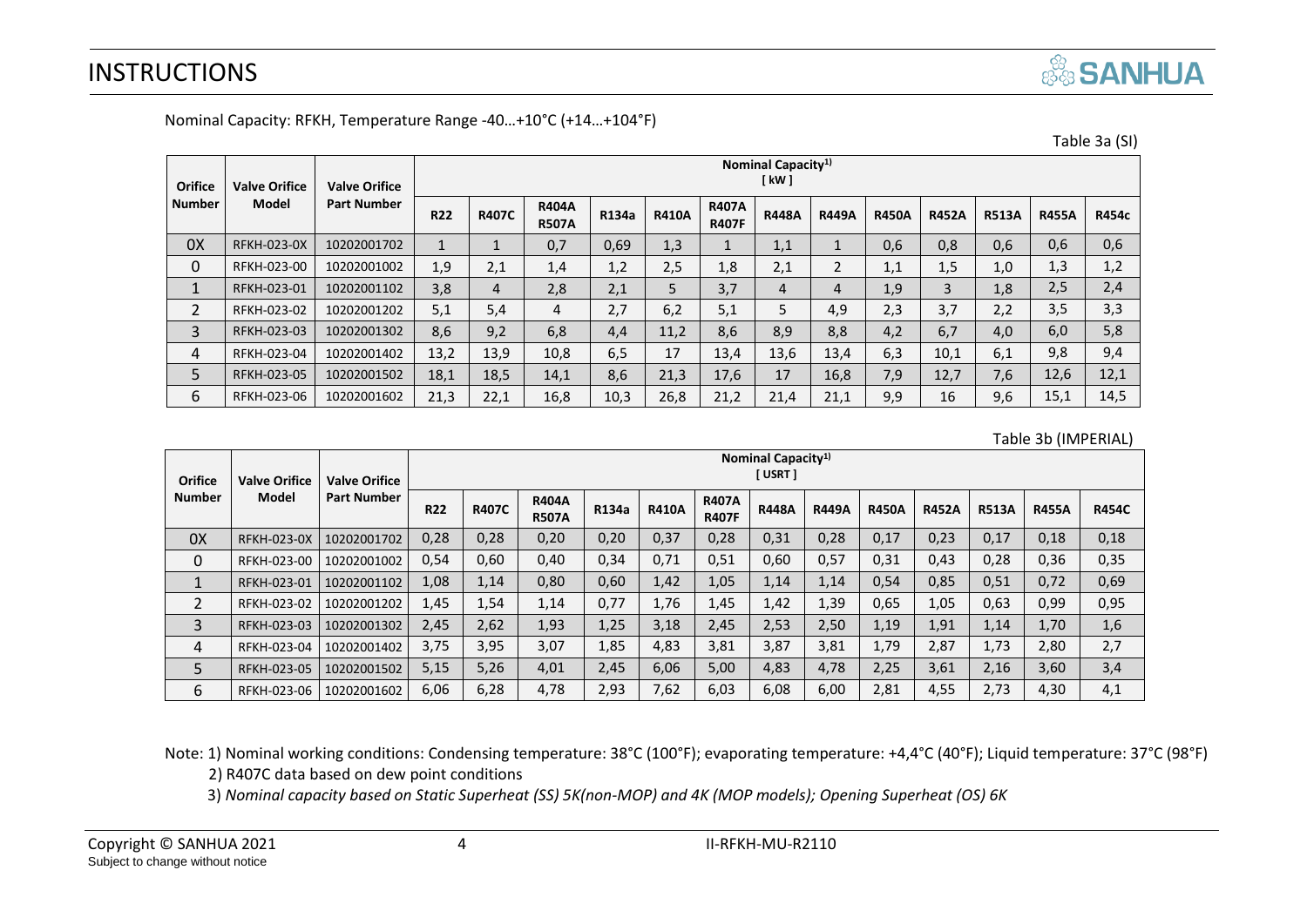|  | <b>SANHUA</b> |  |
|--|---------------|--|
|  |               |  |

|                |                      |                      |                                        |                   |                              |       |              |                              |                |              |              |              |              |              | Table 3a (SI) |
|----------------|----------------------|----------------------|----------------------------------------|-------------------|------------------------------|-------|--------------|------------------------------|----------------|--------------|--------------|--------------|--------------|--------------|---------------|
| Orifice        | <b>Valve Orifice</b> | <b>Valve Orifice</b> | Nominal Capacity <sup>1)</sup><br>[kW] |                   |                              |       |              |                              |                |              |              |              |              |              |               |
| <b>Number</b>  | <b>Model</b>         | Part Number          | <b>R22</b>                             | <b>R407C</b>      | <b>R404A</b><br><b>R507A</b> | R134a | <b>R410A</b> | <b>R407A</b><br><b>R407F</b> | <b>R448A</b>   | <b>R449A</b> | <b>R450A</b> | <b>R452A</b> | <b>R513A</b> | <b>R455A</b> | <b>R454c</b>  |
| 0X             | <b>RFKH-023-0X</b>   | 10202001702          | $\mathbf{1}$                           | $\mathbf{I}$<br>T | 0,7                          | 0,69  | 1,3          |                              | 1,1            | $\mathbf{1}$ | 0,6          | 0,8          | 0,6          | 0,6          | 0,6           |
| $\mathbf 0$    | RFKH-023-00          | 10202001002          | 1,9                                    | 2,1               | 1,4                          | 1,2   | 2,5          | 1,8                          | 2,1            | 2            | 1,1          | 1,5          | 1,0          | 1,3          | 1,2           |
| $\mathbf{1}$   | RFKH-023-01          | 10202001102          | 3,8                                    | 4                 | 2,8                          | 2,1   | 5            | 3,7                          | $\overline{4}$ | 4            | 1,9          | 3            | 1,8          | 2,5          | 2,4           |
| $\overline{2}$ | RFKH-023-02          | 10202001202          | 5,1                                    | 5,4               | 4                            | 2,7   | 6,2          | 5,1                          | 5              | 4,9          | 2,3          | 3,7          | 2,2          | 3,5          | 3,3           |
| 3              | RFKH-023-03          | 10202001302          | 8,6                                    | 9,2               | 6,8                          | 4,4   | 11,2         | 8,6                          | 8,9            | 8,8          | 4,2          | 6,7          | 4,0          | 6,0          | 5,8           |
| 4              | RFKH-023-04          | 10202001402          | 13,2                                   | 13,9              | 10,8                         | 6,5   | 17           | 13,4                         | 13,6           | 13,4         | 6,3          | 10,1         | 6,1          | 9,8          | 9,4           |
| 5              | RFKH-023-05          | 10202001502          | 18,1                                   | 18,5              | 14,1                         | 8,6   | 21,3         | 17,6                         | 17             | 16,8         | 7,9          | 12,7         | 7,6          | 12,6         | 12,1          |
| 6              | RFKH-023-06          | 10202001602          | 21,3                                   | 22,1              | 16,8                         | 10,3  | 26,8         | 21,2                         | 21,4           | 21,1         | 9,9          | 16           | 9,6          | 15,1         | 14,5          |

Nominal Capacity: RFKH, Temperature Range -40…+10°C (+14…+104°F)

#### Table 3b (IMPERIAL)

| Orifice<br><b>Number</b> | <b>Valve Orifice</b> | <b>Valve Orifice</b><br><b>Part Number</b> | Nominal Capacity <sup>1)</sup><br>[USRT] |              |                              |       |              |                              |              |              |              |              |              |              |              |
|--------------------------|----------------------|--------------------------------------------|------------------------------------------|--------------|------------------------------|-------|--------------|------------------------------|--------------|--------------|--------------|--------------|--------------|--------------|--------------|
|                          | Model                |                                            | <b>R22</b>                               | <b>R407C</b> | <b>R404A</b><br><b>R507A</b> | R134a | <b>R410A</b> | <b>R407A</b><br><b>R407F</b> | <b>R448A</b> | <b>R449A</b> | <b>R450A</b> | <b>R452A</b> | <b>R513A</b> | <b>R455A</b> | <b>R454C</b> |
| 0X                       | <b>RFKH-023-0X</b>   | 10202001702                                | 0,28                                     | 0,28         | 0,20                         | 0,20  | 0,37         | 0,28                         | 0,31         | 0,28         | 0,17         | 0,23         | 0,17         | 0,18         | 0,18         |
| 0                        | RFKH-023-00          | 10202001002                                | 0,54                                     | 0,60         | 0,40                         | 0,34  | 0,71         | 0,51                         | 0,60         | 0,57         | 0,31         | 0,43         | 0,28         | 0,36         | 0,35         |
|                          | RFKH-023-01          | 10202001102                                | 1,08                                     | 1,14         | 0,80                         | 0,60  | 1,42         | 1,05                         | 1,14         | 1,14         | 0,54         | 0,85         | 0,51         | 0,72         | 0,69         |
| $\overline{2}$           | RFKH-023-02          | 10202001202                                | 1,45                                     | 1,54         | 1,14                         | 0,77  | 1,76         | 1,45                         | 1,42         | 1,39         | 0,65         | 1,05         | 0,63         | 0,99         | 0,95         |
| 3                        | RFKH-023-03          | 10202001302                                | 2,45                                     | 2,62         | 1,93                         | 1,25  | 3,18         | 2,45                         | 2,53         | 2,50         | 1,19         | 1,91         | 1,14         | 1,70         | 1,6          |
| 4                        | RFKH-023-04          | 10202001402                                | 3,75                                     | 3,95         | 3,07                         | 1,85  | 4,83         | 3,81                         | 3,87         | 3,81         | 1,79         | 2,87         | 1,73         | 2,80         | 2,7          |
| 5                        | RFKH-023-05          | 10202001502                                | 5,15                                     | 5,26         | 4,01                         | 2,45  | 6,06         | 5,00                         | 4,83         | 4,78         | 2,25         | 3,61         | 2,16         | 3,60         | 3,4          |
| 6                        | RFKH-023-06          | 10202001602                                | 6,06                                     | 6,28         | 4,78                         | 2,93  | 7,62         | 6,03                         | 6,08         | 6,00         | 2,81         | 4,55         | 2,73         | 4,30         | 4,1          |

Note: 1) Nominal working conditions: Condensing temperature: 38°C (100°F); evaporating temperature: +4,4°C (40°F); Liquid temperature: 37°C (98°F) 2) R407C data based on dew point conditions

3) *Nominal capacity based on Static Superheat (SS) 5K(non-MOP) and 4K (MOP models); Opening Superheat (OS) 6K*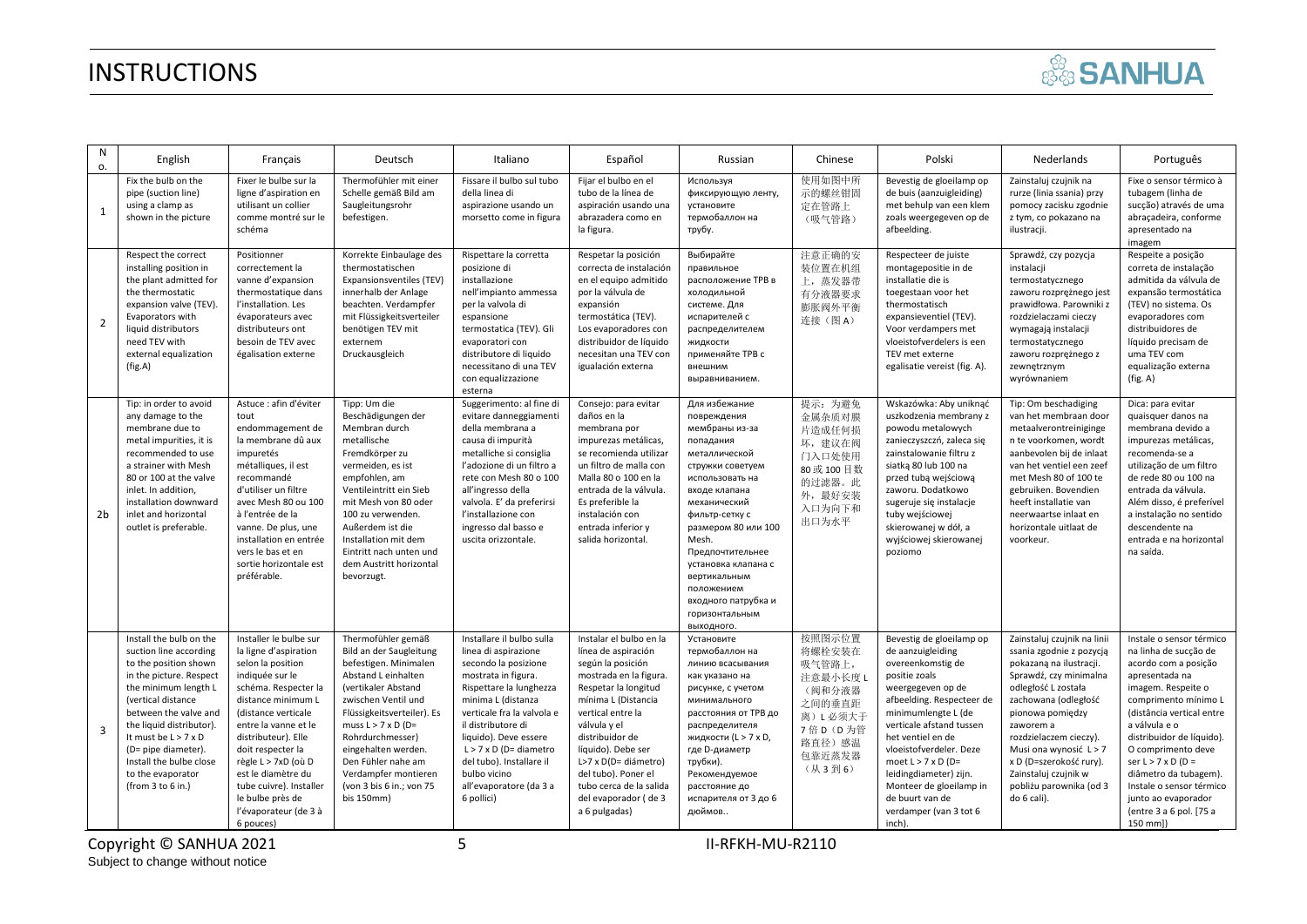|  | <b>SANHUA</b> |
|--|---------------|
|  |               |

| N<br>о.        | English                                                                                                                                                                                                                                                                                                                             | Français                                                                                                                                                                                                                                                                                                                                                           | Deutsch                                                                                                                                                                                                                                                                                                                                   | Italiano                                                                                                                                                                                                                                                                                                                                             | Español                                                                                                                                                                                                                                                                                                                                       | Russian                                                                                                                                                                                                                                                                                                                                | Chinese                                                                                                            | Polski                                                                                                                                                                                                                                                                                                                                                                            | Nederlands                                                                                                                                                                                                                                                                                                                                    | Português                                                                                                                                                                                                                                                                                                                                                                                  |
|----------------|-------------------------------------------------------------------------------------------------------------------------------------------------------------------------------------------------------------------------------------------------------------------------------------------------------------------------------------|--------------------------------------------------------------------------------------------------------------------------------------------------------------------------------------------------------------------------------------------------------------------------------------------------------------------------------------------------------------------|-------------------------------------------------------------------------------------------------------------------------------------------------------------------------------------------------------------------------------------------------------------------------------------------------------------------------------------------|------------------------------------------------------------------------------------------------------------------------------------------------------------------------------------------------------------------------------------------------------------------------------------------------------------------------------------------------------|-----------------------------------------------------------------------------------------------------------------------------------------------------------------------------------------------------------------------------------------------------------------------------------------------------------------------------------------------|----------------------------------------------------------------------------------------------------------------------------------------------------------------------------------------------------------------------------------------------------------------------------------------------------------------------------------------|--------------------------------------------------------------------------------------------------------------------|-----------------------------------------------------------------------------------------------------------------------------------------------------------------------------------------------------------------------------------------------------------------------------------------------------------------------------------------------------------------------------------|-----------------------------------------------------------------------------------------------------------------------------------------------------------------------------------------------------------------------------------------------------------------------------------------------------------------------------------------------|--------------------------------------------------------------------------------------------------------------------------------------------------------------------------------------------------------------------------------------------------------------------------------------------------------------------------------------------------------------------------------------------|
| $\mathbf{1}$   | Fix the bulb on the<br>pipe (suction line)<br>using a clamp as<br>shown in the picture                                                                                                                                                                                                                                              | Fixer le bulbe sur la<br>ligne d'aspiration en<br>utilisant un collier<br>comme montré sur le<br>schéma                                                                                                                                                                                                                                                            | Thermofühler mit einer<br>Schelle gemäß Bild am<br>Saugleitungsrohr<br>befestigen.                                                                                                                                                                                                                                                        | Fissare il bulbo sul tubo<br>della linea di<br>aspirazione usando un<br>morsetto come in figura                                                                                                                                                                                                                                                      | Fijar el bulbo en el<br>tubo de la línea de<br>aspiración usando una<br>abrazadera como en<br>la figura.                                                                                                                                                                                                                                      | Используя<br>фиксирующую ленту,<br>установите<br>термобаллон на<br>трубу.                                                                                                                                                                                                                                                              | 使用如图中所<br>示的螺丝钳固<br>定在管路上<br>(吸气管路)                                                                                | Bevestig de gloeilamp op<br>de buis (aanzuigleiding)<br>met behulp van een klem<br>zoals weergegeven op de<br>afbeelding.                                                                                                                                                                                                                                                         | Zainstaluj czujnik na<br>rurze (linia ssania) przy<br>pomocy zacisku zgodnie<br>z tym, co pokazano na<br>ilustracji.                                                                                                                                                                                                                          | Fixe o sensor térmico à<br>tubagem (linha de<br>sucção) através de uma<br>abraçadeira, conforme<br>apresentado na<br>imagem                                                                                                                                                                                                                                                                |
| $\overline{2}$ | Respect the correct<br>installing position in<br>the plant admitted for<br>the thermostatic<br>expansion valve (TEV).<br>Evaporators with<br>liquid distributors<br>need TEV with<br>external equalization<br>(fig.A)                                                                                                               | Positionner<br>correctement la<br>vanne d'expansion<br>thermostatique dans<br>l'installation. Les<br>évaporateurs avec<br>distributeurs ont<br>besoin de TEV avec<br>égalisation externe                                                                                                                                                                           | Korrekte Einbaulage des<br>thermostatischen<br>Expansionsventiles (TEV)<br>innerhalb der Anlage<br>beachten. Verdampfer<br>mit Flüssigkeitsverteiler<br>benötigen TEV mit<br>externem<br>Druckausgleich                                                                                                                                   | Rispettare la corretta<br>posizione di<br>installazione<br>nell'impianto ammessa<br>per la valvola di<br>espansione<br>termostatica (TEV). Gli<br>evaporatori con<br>distributore di liquido<br>necessitano di una TEV<br>con equalizzazione<br>esterna                                                                                              | Respetar la posición<br>correcta de instalación<br>en el equipo admitido<br>por la válvula de<br>expansión<br>termostática (TEV).<br>Los evaporadores con<br>distribuidor de líquido<br>necesitan una TEV con<br>igualación externa                                                                                                           | Выбирайте<br>правильное<br>расположение ТРВ в<br>холодильной<br>системе. Для<br>испарителей с<br>распределителем<br>жидкости<br>применяйте ТРВ с<br>внешним<br>выравниванием.                                                                                                                                                          | 注意正确的安<br>装位置在机组<br>上,蒸发器带<br>有分液器要求<br>膨胀阀外平衡<br>连接(图A)                                                           | Respecteer de juiste<br>montagepositie in de<br>installatie die is<br>toegestaan voor het<br>thermostatisch<br>expansieventiel (TEV).<br>Voor verdampers met<br>vloeistofverdelers is een<br>TEV met externe<br>egalisatie vereist (fig. A).                                                                                                                                      | Sprawdź, czy pozycja<br>instalacji<br>termostatycznego<br>zaworu rozprężnego jest<br>prawidłowa. Parowniki z<br>rozdzielaczami cieczy<br>wymagają instalacji<br>termostatycznego<br>zaworu rozprężnego z<br>zewnętrznym<br>wyrównaniem                                                                                                        | Respeite a posição<br>correta de instalação<br>admitida da válvula de<br>expansão termostática<br>(TEV) no sistema. Os<br>evaporadores com<br>distribuidores de<br>líquido precisam de<br>uma TEV com<br>equalização externa<br>(fig. A)                                                                                                                                                   |
| 2 <sub>b</sub> | Tip: in order to avoid<br>any damage to the<br>membrane due to<br>metal impurities, it is<br>recommended to use<br>a strainer with Mesh<br>80 or 100 at the valve<br>inlet. In addition,<br>installation downward<br>inlet and horizontal<br>outlet is preferable.                                                                  | Astuce : afin d'éviter<br>tout<br>endommagement de<br>la membrane dû aux<br>impuretés<br>métalliques, il est<br>recommandé<br>d'utiliser un filtre<br>avec Mesh 80 ou 100<br>à l'entrée de la<br>vanne. De plus, une<br>installation en entrée<br>vers le bas et en<br>sortie horizontale est<br>préférable.                                                       | Tipp: Um die<br>Beschädigungen der<br>Membran durch<br>metallische<br>Fremdkörper zu<br>vermeiden, es ist<br>empfohlen, am<br>Ventileintritt ein Sieb<br>mit Mesh von 80 oder<br>100 zu verwenden.<br>Außerdem ist die<br>Installation mit dem<br>Eintritt nach unten und<br>dem Austritt horizontal<br>bevorzugt.                        | Suggerimento: al fine di<br>evitare danneggiamenti<br>della membrana a<br>causa di impurità<br>metalliche si consiglia<br>l'adozione di un filtro a<br>rete con Mesh 80 o 100<br>all'ingresso della<br>valvola. E' da preferirsi<br>l'installazione con<br>ingresso dal basso e<br>uscita orizzontale.                                               | Consejo: para evitar<br>daños en la<br>membrana por<br>impurezas metálicas,<br>se recomienda utilizar<br>un filtro de malla con<br>Malla 80 o 100 en la<br>entrada de la válvula.<br>Es preferible la<br>instalación con<br>entrada inferior y<br>salida horizontal.                                                                          | Для избежание<br>повреждения<br>мембраны из-за<br>попадания<br>металлической<br>стружки советуем<br>использовать на<br>входе клапана<br>механический<br>фильтр-сетку с<br>размером 80 или 100<br>Mesh.<br>Предпочтительнее<br>установка клапана с<br>вертикальным<br>положением<br>входного патрубка и<br>горизонтальным<br>выходного. | 提示: 为避免<br>金属杂质对膜<br>片造成任何损<br>坏,建议在阀<br>门入口处使用<br>80 或 100 目数<br>的过滤器。此<br>外,最好安装<br>入口为向下和<br>出口为水平              | Wskazówka: Aby uniknąć<br>uszkodzenia membrany z<br>powodu metalowych<br>zanieczyszczń, zaleca się<br>zainstalowanie filtru z<br>siatka 80 lub 100 na<br>przed tubą wejściową<br>zaworu. Dodatkowo<br>sugeruje się instalacje<br>tuby wejściowej<br>skierowanej w dół, a<br>wyjściowej skierowanej<br>poziomo                                                                     | Tip: Om beschadiging<br>van het membraan door<br>metaalverontreiniginge<br>n te voorkomen, wordt<br>aanbevolen bij de inlaat<br>van het ventiel een zeef<br>met Mesh 80 of 100 te<br>gebruiken. Bovendien<br>heeft installatie van<br>neerwaartse inlaat en<br>horizontale uitlaat de<br>voorkeur.                                            | Dica: para evitar<br>quaisquer danos na<br>membrana devido a<br>impurezas metálicas,<br>recomenda-se a<br>utilização de um filtro<br>de rede 80 ou 100 na<br>entrada da válvula.<br>Além disso, é preferível<br>a instalação no sentido<br>descendente na<br>entrada e na horizontal<br>na saída.                                                                                          |
| 3              | Install the bulb on the<br>suction line according<br>to the position shown<br>in the picture. Respect<br>the minimum length L<br>(vertical distance<br>between the valve and<br>the liquid distributor).<br>It must be $L > 7 \times D$<br>(D= pipe diameter).<br>Install the bulbe close<br>to the evaporator<br>(from 3 to 6 in.) | Installer le bulbe sur<br>la ligne d'aspiration<br>selon la position<br>indiquée sur le<br>schéma. Respecter la<br>distance minimum L<br>(distance verticale<br>entre la vanne et le<br>distributeur). Elle<br>doit respecter la<br>règle L > 7xD (où D<br>est le diamètre du<br>tube cuivre). Installer<br>le bulbe près de<br>l'évaporateur (de 3 à<br>6 pouces) | Thermofühler gemäß<br>Bild an der Saugleitung<br>befestigen. Minimalen<br>Abstand L einhalten<br>(vertikaler Abstand<br>zwischen Ventil und<br>Flüssigkeitsverteiler). Es<br>muss $L > 7 \times D$ (D=<br>Rohrdurchmesser)<br>eingehalten werden.<br>Den Fühler nahe am<br>Verdampfer montieren<br>(von 3 bis 6 in.; von 75<br>bis 150mm) | Installare il bulbo sulla<br>linea di aspirazione<br>secondo la posizione<br>mostrata in figura.<br>Rispettare la lunghezza<br>minima L (distanza<br>verticale fra la valvola e<br>il distributore di<br>liquido). Deve essere<br>$L > 7 \times D$ (D= diametro<br>del tubo). Installare il<br>bulbo vicino<br>all'evaporatore (da 3 a<br>6 pollici) | Instalar el bulbo en la<br>línea de aspiración<br>según la posición<br>mostrada en la figura.<br>Respetar la longitud<br>mínima L (Distancia<br>vertical entre la<br>válvula y el<br>distribuidor de<br>líquido). Debe ser<br>L>7 x D(D= diámetro)<br>del tubo). Poner el<br>tubo cerca de la salida<br>del evaporador (de 3<br>a 6 pulgadas) | Установите<br>термобаллон на<br>линию всасывания<br>как указано на<br>рисунке, с учетом<br>минимального<br>расстояния от ТРВ до<br>распределителя<br>жидкости (L > 7 х D,<br>где D-диаметр<br>трубки).<br>Рекомендуемое<br>расстояние до<br>испарителя от 3 до 6<br>дюймов                                                             | 按照图示位置<br>将螺栓安装在<br>吸气管路上,<br>注意最小长度 L<br>(阀和分液器<br>之间的垂直距<br>离)L必须大于<br>7 倍 D (D 为管<br>路直径)感温<br>包靠近蒸发器<br>(从3到6) | Bevestig de gloeilamp op<br>de aanzuigleiding<br>overeenkomstig de<br>positie zoals<br>weergegeven op de<br>afbeelding. Respecteer de<br>minimumlengte L (de<br>verticale afstand tussen<br>het ventiel en de<br>vloeistofverdeler. Deze<br>moet $L > 7 \times D$ (D=<br>leidingdiameter) zijn.<br>Monteer de gloeilamp in<br>de buurt van de<br>verdamper (van 3 tot 6<br>inch). | Zainstaluj czujnik na linii<br>ssania zgodnie z pozycją<br>pokazana na ilustracji.<br>Sprawdź, czy minimalna<br>odległość L została<br>zachowana (odległość<br>pionowa pomiędzy<br>zaworem a<br>rozdzielaczem cieczy).<br>Musi ona wynosić L > 7<br>x D (D=szerokość rury).<br>Zainstaluj czujnik w<br>pobliżu parownika (od 3<br>do 6 cali). | Instale o sensor térmico<br>na linha de sucção de<br>acordo com a posição<br>apresentada na<br>imagem. Respeite o<br>comprimento mínimo L<br>(distância vertical entre<br>a válvula e o<br>distribuidor de líquido).<br>O comprimento deve<br>ser $L > 7 \times D$ (D =<br>diâmetro da tubagem).<br>Instale o sensor térmico<br>junto ao evaporador<br>(entre 3 a 6 pol. [75 a<br>150 mm]) |

Copyright © SANHUA 2021 5 II-RFKH-MU-R2110 Subject to change without notice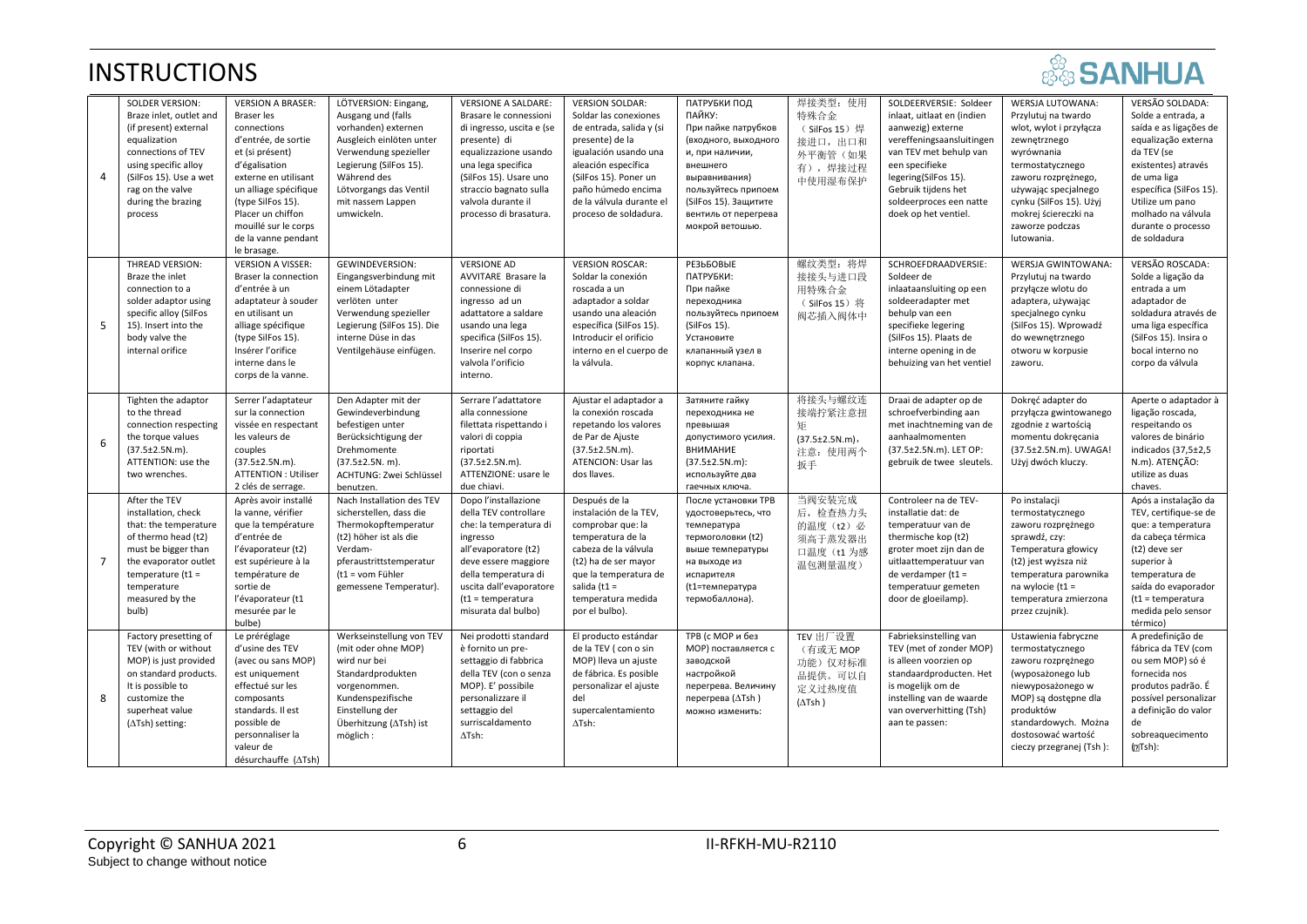# **SANHUA**

| $\overline{4}$ | <b>SOLDER VERSION:</b><br>Braze inlet, outlet and<br>(if present) external<br>equalization<br>connections of TEV<br>using specific alloy<br>(SilFos 15). Use a wet<br>rag on the valve<br>during the brazing<br>process | <b>VERSION A BRASER:</b><br><b>Braser</b> les<br>connections<br>d'entrée, de sortie<br>et (si présent)<br>d'égalisation<br>externe en utilisant<br>un alliage spécifique<br>(type SilFos 15).<br>Placer un chiffon<br>mouillé sur le corps<br>de la vanne pendant<br>le brasage. | LÖTVERSION: Eingang,<br>Ausgang und (falls<br>vorhanden) externen<br>Ausgleich einlöten unter<br>Verwendung spezieller<br>Legierung (SilFos 15).<br>Während des<br>Lötvorgangs das Ventil<br>mit nassem Lappen<br>umwickeln. | <b>VERSIONE A SALDARE:</b><br>Brasare le connessioni<br>di ingresso, uscita e (se<br>presente) di<br>equalizzazione usando<br>una lega specifica<br>(SilFos 15). Usare uno<br>straccio bagnato sulla<br>valvola durante il<br>processo di brasatura. | <b>VERSION SOLDAR:</b><br>Soldar las conexiones<br>de entrada, salida y (si<br>presente) de la<br>igualación usando una<br>aleación específica<br>(SilFos 15). Poner un<br>paño húmedo encima<br>de la válvula durante el<br>proceso de soldadura. | ПАТРУБКИ ПОД<br>ПАЙКУ:<br>При пайке патрубков<br>(входного, выходного<br>и, при наличии,<br>внешнего<br>выравнивания)<br>пользуйтесь припоем<br>(SilFos 15). Защитите<br>вентиль от перегрева<br>мокрой ветошью. | 焊接类型: 使用<br>特殊合金<br>(SilFos 15)焊<br>接进口, 出口和<br>外平衡管 (如果<br>有),焊接过程<br>中使用湿布保护 | SOLDEERVERSIE: Soldeer<br>inlaat, uitlaat en (indien<br>aanwezig) externe<br>vereffeningsaansluitingen<br>van TEV met behulp van<br>een specifieke<br>legering(SilFos 15).<br>Gebruik tijdens het<br>soldeerproces een natte<br>doek op het ventiel. | WERSJA LUTOWANA:<br>Przylutuj na twardo<br>wlot, wylot i przyłącza<br>zewnętrznego<br>wyrównania<br>termostatycznego<br>zaworu rozprężnego,<br>używając specjalnego<br>cynku (SilFos 15). Użyj<br>mokrej ściereczki na<br>zaworze podczas<br>lutowania. | VERSÃO SOLDADA:<br>Solde a entrada, a<br>saída e as ligações de<br>equalização externa<br>da TEV (se<br>existentes) através<br>de uma liga<br>específica (SilFos 15).<br>Utilize um pano<br>molhado na válvula<br>durante o processo<br>de soldadura |
|----------------|-------------------------------------------------------------------------------------------------------------------------------------------------------------------------------------------------------------------------|----------------------------------------------------------------------------------------------------------------------------------------------------------------------------------------------------------------------------------------------------------------------------------|------------------------------------------------------------------------------------------------------------------------------------------------------------------------------------------------------------------------------|------------------------------------------------------------------------------------------------------------------------------------------------------------------------------------------------------------------------------------------------------|----------------------------------------------------------------------------------------------------------------------------------------------------------------------------------------------------------------------------------------------------|------------------------------------------------------------------------------------------------------------------------------------------------------------------------------------------------------------------|--------------------------------------------------------------------------------|------------------------------------------------------------------------------------------------------------------------------------------------------------------------------------------------------------------------------------------------------|---------------------------------------------------------------------------------------------------------------------------------------------------------------------------------------------------------------------------------------------------------|------------------------------------------------------------------------------------------------------------------------------------------------------------------------------------------------------------------------------------------------------|
| -5             | THREAD VERSION:<br>Braze the inlet<br>connection to a<br>solder adaptor using<br>specific alloy (SilFos<br>15). Insert into the<br>body valve the<br>internal orifice                                                   | <b>VERSION A VISSER:</b><br>Braser la connection<br>d'entrée à un<br>adaptateur à souder<br>en utilisant un<br>alliage spécifique<br>(type SilFos 15).<br>Insérer l'orifice<br>interne dans le<br>corps de la vanne.                                                             | <b>GEWINDEVERSION:</b><br>Eingangsverbindung mit<br>einem Lötadapter<br>verlöten unter<br>Verwendung spezieller<br>Legierung (SilFos 15). Die<br>interne Düse in das<br>Ventilgehäuse einfügen.                              | <b>VERSIONE AD</b><br>AVVITARE Brasare la<br>connessione di<br>ingresso ad un<br>adattatore a saldare<br>usando una lega<br>specifica (SilFos 15).<br>Inserire nel corpo<br>valvola l'orificio<br>interno.                                           | <b>VERSION ROSCAR:</b><br>Soldar la conexión<br>roscada a un<br>adaptador a soldar<br>usando una aleación<br>específica (SilFos 15).<br>Introducir el orificio<br>interno en el cuerpo de<br>la válvula.                                           | <b>РЕЗЬБОВЫЕ</b><br>ПАТРУБКИ:<br>При пайке<br>переходника<br>пользуйтесь припоем<br>(SilFos 15).<br>Установите<br>клапанный узел в<br>корпус клапана.                                                            | 螺纹类型: 将焊<br>接接头与进口段<br>用特殊合金<br>(SilFos 15) 将<br>阀芯插入阀体中                       | SCHROEFDRAADVERSIE:<br>Soldeer de<br>inlaataansluiting op een<br>soldeeradapter met<br>behulp van een<br>specifieke legering<br>(SilFos 15). Plaats de<br>interne opening in de<br>behuizing van het ventiel                                         | WERSJA GWINTOWANA:<br>Przylutuj na twardo<br>przyłącze wlotu do<br>adaptera, używając<br>specjalnego cynku<br>(SilFos 15). Wprowadź<br>do wewnętrznego<br>otworu w korpusie<br>zaworu.                                                                  | VERSÃO ROSCADA:<br>Solde a ligação da<br>entrada a um<br>adaptador de<br>soldadura através de<br>uma liga específica<br>(SilFos 15). Insira o<br>bocal interno no<br>corpo da válvula                                                                |
| 6              | Tighten the adaptor<br>to the thread<br>connection respecting<br>the torque values<br>$(37.5 \pm 2.5 N.m).$<br>ATTENTION: use the<br>two wrenches.                                                                      | Serrer l'adaptateur<br>sur la connection<br>vissée en respectant<br>les valeurs de<br>couples<br>$(37.5 \pm 2.5 N.m).$<br><b>ATTENTION: Utiliser</b><br>2 clés de serrage.                                                                                                       | Den Adapter mit der<br>Gewindeverbindung<br>befestigen unter<br>Berücksichtigung der<br>Drehmomente<br>$(37.5 \pm 2.5N. m).$<br>ACHTUNG: Zwei Schlüssel<br>benutzen.                                                         | Serrare l'adattatore<br>alla connessione<br>filettata rispettando i<br>valori di coppia<br>riportati<br>$(37.5 \pm 2.5 N.m).$<br>ATTENZIONE: usare le<br>due chiavi.                                                                                 | Ajustar el adaptador a<br>la conexión roscada<br>repetando los valores<br>de Par de Ajuste<br>$(37.5 \pm 2.5 N.m).$<br>ATENCION: Usar las<br>dos llaves.                                                                                           | Затяните гайку<br>переходника не<br>превышая<br>допустимого усилия.<br><b>ВНИМАНИЕ</b><br>$(37.5 \pm 2.5 N.m):$<br>используйте два<br>гаечных ключа.                                                             | 将接头与螺纹连<br>接端拧紧注意扭<br>矩<br>$(37.5 \pm 2.5 N.m),$<br>注意: 使用两个<br>扳手             | Draai de adapter op de<br>schroefverbinding aan<br>met inachtneming van de<br>aanhaalmomenten<br>(37.5±2.5N.m). LET OP:<br>gebruik de twee sleutels.                                                                                                 | Dokręć adapter do<br>przyłącza gwintowanego<br>zgodnie z wartością<br>momentu dokręcania<br>(37.5±2.5N.m). UWAGA!<br>Użyj dwóch kluczy.                                                                                                                 | Aperte o adaptador à<br>ligação roscada,<br>respeitando os<br>valores de binário<br>indicados (37,5±2,5<br>N.m). ATENÇÃO:<br>utilize as duas<br>chaves.                                                                                              |
| $\overline{7}$ | After the TEV<br>installation, check<br>that: the temperature<br>of thermo head (t2)<br>must be bigger than<br>the evaporator outlet<br>temperature $(t1 =$<br>temperature<br>measured by the<br>bulb)                  | Après avoir installé<br>la vanne, vérifier<br>que la température<br>d'entrée de<br>l'évaporateur (t2)<br>est supérieure à la<br>température de<br>sortie de<br>l'évaporateur (t1<br>mesurée par le<br>bulbe)                                                                     | Nach Installation des TEV<br>sicherstellen, dass die<br>Thermokopftemperatur<br>(t2) höher ist als die<br>Verdam-<br>pferaustrittstemperatur<br>(t1 = vom Fühler<br>gemessene Temperatur).                                   | Dopo l'installazione<br>della TEV controllare<br>che: la temperatura di<br>ingresso<br>all'evaporatore (t2)<br>deve essere maggiore<br>della temperatura di<br>uscita dall'evaporatore<br>$(t1 = temperature)$<br>misurata dal bulbo)                | Después de la<br>instalación de la TEV,<br>comprobar que: la<br>temperatura de la<br>cabeza de la válvula<br>(t2) ha de ser mayor<br>que la temperatura de<br>salida ( $t1 =$<br>temperatura medida<br>por el bulbo).                              | После установки ТРВ<br>удостоверьтесь, что<br>температура<br>термоголовки (t2)<br>выше температуры<br>на выходе из<br>испарителя<br>(t1=температура<br>термобаллона).                                            | 当阀安装完成<br>后, 检查热力头<br>的温度 (t2) 必<br>须高于蒸发器出<br>口温度 (t1 为感<br>温包测量温度)           | Controleer na de TEV-<br>installatie dat: de<br>temperatuur van de<br>thermische kop (t2)<br>groter moet zijn dan de<br>uitlaattemperatuur van<br>de verdamper ( $t1 =$<br>temperatuur gemeten<br>door de gloeilamp).                                | Po instalacji<br>termostatycznego<br>zaworu rozprężnego<br>sprawdź, czy:<br>Temperatura głowicy<br>(t2) jest wyższa niż<br>temperatura parownika<br>na wylocie (t1 =<br>temperatura zmierzona<br>przez czujnik).                                        | Após a instalação da<br>TEV, certifique-se de<br>que: a temperatura<br>da cabeça térmica<br>(t2) deve ser<br>superior à<br>temperatura de<br>saída do evaporador<br>$(t1 = temperature)$<br>medida pelo sensor<br>térmico)                           |
| 8              | Factory presetting of<br>TEV (with or without<br>MOP) is just provided<br>on standard products.<br>It is possible to<br>customize the<br>superheat value<br>$(\Delta$ Tsh) setting:                                     | Le préréglage<br>d'usine des TEV<br>(avec ou sans MOP)<br>est uniquement<br>effectué sur les<br>composants<br>standards. Il est<br>possible de<br>personnaliser la<br>valeur de<br>désurchauffe (ATsh)                                                                           | Werkseinstellung von TEV<br>(mit oder ohne MOP)<br>wird nur bei<br>Standardprodukten<br>vorgenommen.<br>Kundenspezifische<br>Einstellung der<br>Überhitzung (∆Tsh) ist<br>möglich:                                           | Nei prodotti standard<br>è fornito un pre-<br>settaggio di fabbrica<br>della TEV (con o senza<br>MOP). E' possibile<br>personalizzare il<br>settaggio del<br>surriscaldamento<br>$\Delta$ Tsh:                                                       | El producto estándar<br>de la TEV ( con o sin<br>MOP) lleva un ajuste<br>de fábrica. Es posible<br>personalizar el ajuste<br>del<br>supercalentamiento<br>$\Delta$ Tsh:                                                                            | ТРВ (с МОР и без<br>МОР) поставляется с<br>заводской<br>настройкой<br>перегрева. Величину<br>перегрева (ATsh)<br>можно изменить:                                                                                 | TEV 出厂设置<br>(有或无 MOP<br>功能) 仅对标准<br>品提供。可以自<br>定义过热度值<br>$(\Delta$ Tsh)        | Fabrieksinstelling van<br>TEV (met of zonder MOP)<br>is alleen voorzien op<br>standaardproducten. Het<br>is mogelijk om de<br>instelling van de waarde<br>van oververhitting (Tsh)<br>aan te passen:                                                 | Ustawienia fabryczne<br>termostatycznego<br>zaworu rozprężnego<br>(wyposażonego lub<br>niewyposażonego w<br>MOP) są dostępne dla<br>produktów<br>standardowych. Można<br>dostosować wartość<br>cieczy przegranej (Tsh):                                 | A predefinição de<br>fábrica da TEV (com<br>ou sem MOP) só é<br>fornecida nos<br>produtos padrão. É<br>possível personalizar<br>a definição do valor<br>de<br>sobreaquecimento<br>(LTsh):                                                            |